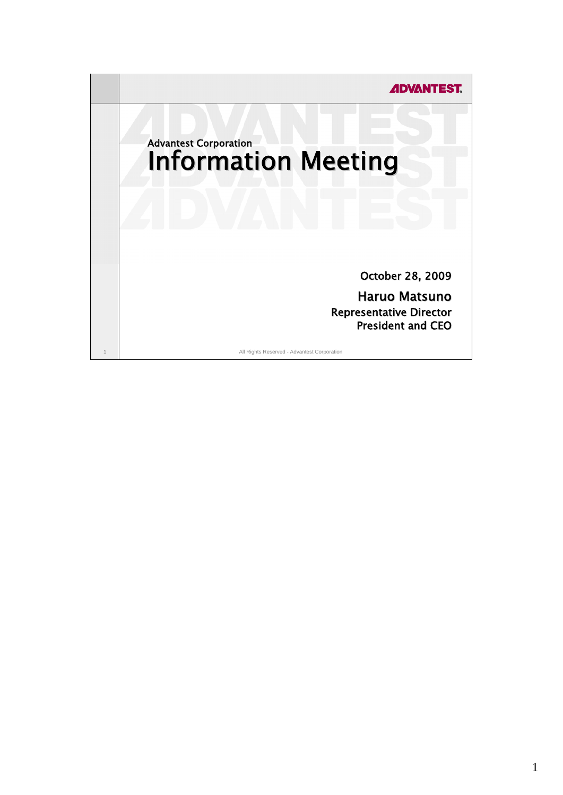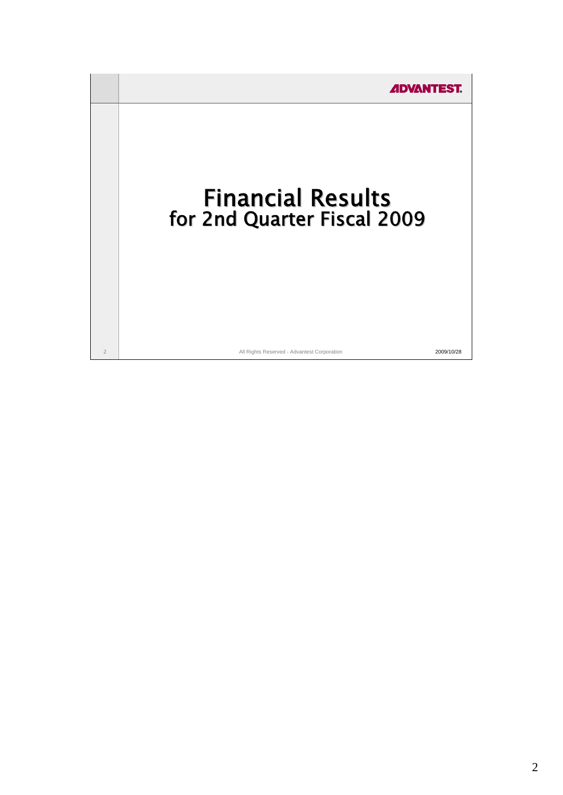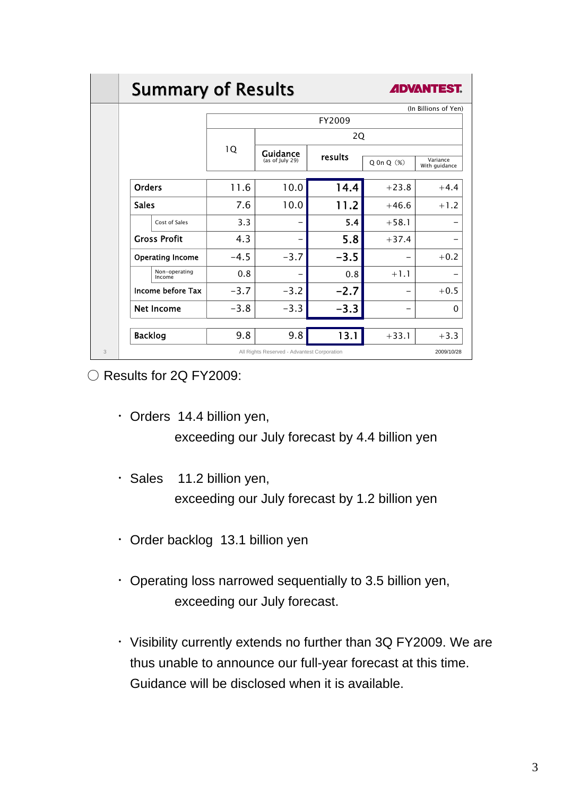## **Summary of Results**



|                         |        |                                             |         |                   | (In Billions of Yen)      |
|-------------------------|--------|---------------------------------------------|---------|-------------------|---------------------------|
|                         | FY2009 |                                             |         |                   |                           |
|                         | 1Q     | 2Q                                          |         |                   |                           |
|                         |        | Guidance<br>(as of July 29)                 | results | $Q$ On $Q$ $(\%)$ | Variance<br>With guidance |
| <b>Orders</b>           | 11.6   | 10.0                                        | 14.4    | $+23.8$           | $+4.4$                    |
| <b>Sales</b>            | 7.6    | 10.0                                        | 11.2    | $+46.6$           | $+1.2$                    |
| Cost of Sales           | 3.3    |                                             | 5.4     | $+58.1$           |                           |
| <b>Gross Profit</b>     | 4.3    |                                             | 5.8     | $+37.4$           |                           |
| <b>Operating Income</b> | $-4.5$ | $-3.7$                                      | $-3.5$  |                   | $+0.2$                    |
| Non-operating<br>Income | 0.8    |                                             | 0.8     | $+1.1$            |                           |
| Income before Tax       | $-3.7$ | $-3.2$                                      | $-2.7$  |                   | $+0.5$                    |
| <b>Net Income</b>       | $-3.8$ | $-3.3$                                      | $-3.3$  |                   | 0                         |
| <b>Backlog</b>          | 9.8    | 9.8                                         | 13.1    | $+33.1$           | $+3.3$                    |
|                         |        | All Rights Reserved - Advantest Corporation |         |                   | 2009/10/28                |

○ Results for 2Q FY2009:

- ・Orders 14.4 billion yen, exceeding our July forecast by 4.4 billion yen
- ・Sales 11.2 billion yen, exceeding our July forecast by 1.2 billion yen
- ・Order backlog 13.1 billion yen
- ・Operating loss narrowed sequentially to 3.5 billion yen, exceeding our July forecast.
- ・Visibility currently extends no further than 3Q FY2009. We are thus unable to announce our full-year forecast at this time. Guidance will be disclosed when it is available.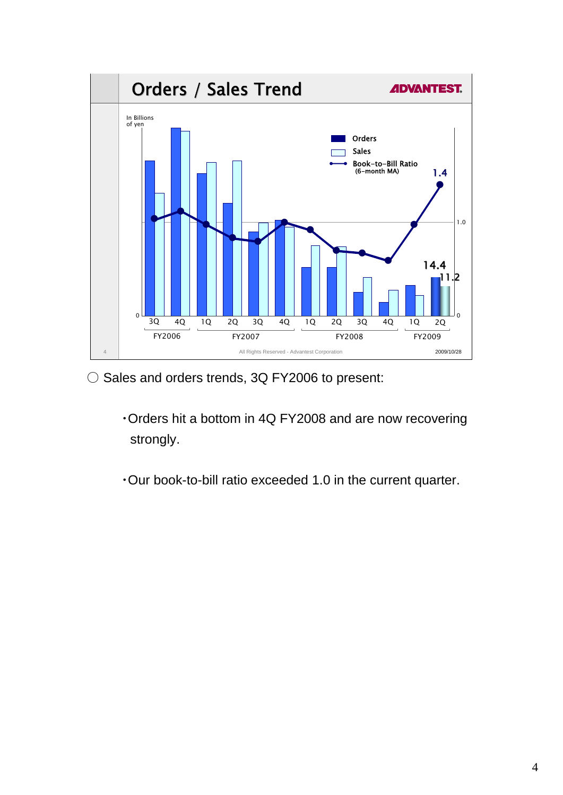

- Sales and orders trends, 3Q FY2006 to present:
	- ・Orders hit a bottom in 4Q FY2008 and are now recovering strongly.
	- ・Our book-to-bill ratio exceeded 1.0 in the current quarter.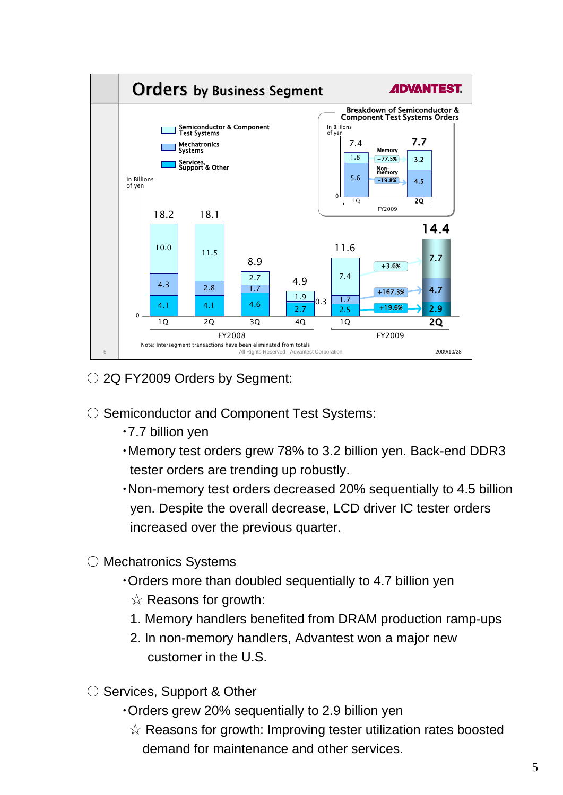

○ 2Q FY2009 Orders by Segment:

- Semiconductor and Component Test Systems:
	- ・7.7 billion yen
	- ・Memory test orders grew 78% to 3.2 billion yen. Back-end DDR3 tester orders are trending up robustly.
	- ・Non-memory test orders decreased 20% sequentially to 4.5 billion yen. Despite the overall decrease, LCD driver IC tester orders increased over the previous quarter.
- Mechatronics Systems
	- ・Orders more than doubled sequentially to 4.7 billion yen  $\hat{\mathbb{X}}$  Reasons for growth:
		- 1. Memory handlers benefited from DRAM production ramp-ups
		- 2. In non-memory handlers, Advantest won a major new customer in the U.S.
- Services, Support & Other
	- ・Orders grew 20% sequentially to 2.9 billion yen
		- $\hat{\mathbb{X}}$  Reasons for growth: Improving tester utilization rates boosted demand for maintenance and other services.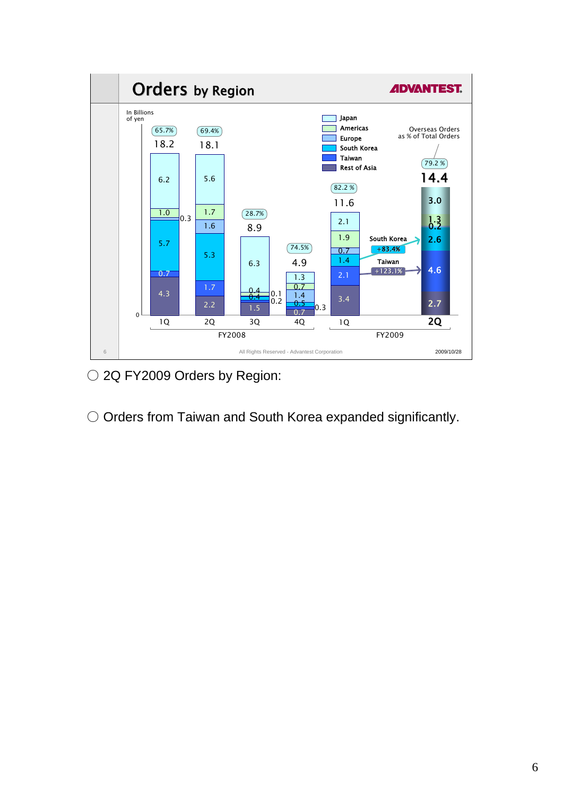

○ 2Q FY2009 Orders by Region:

O Orders from Taiwan and South Korea expanded significantly.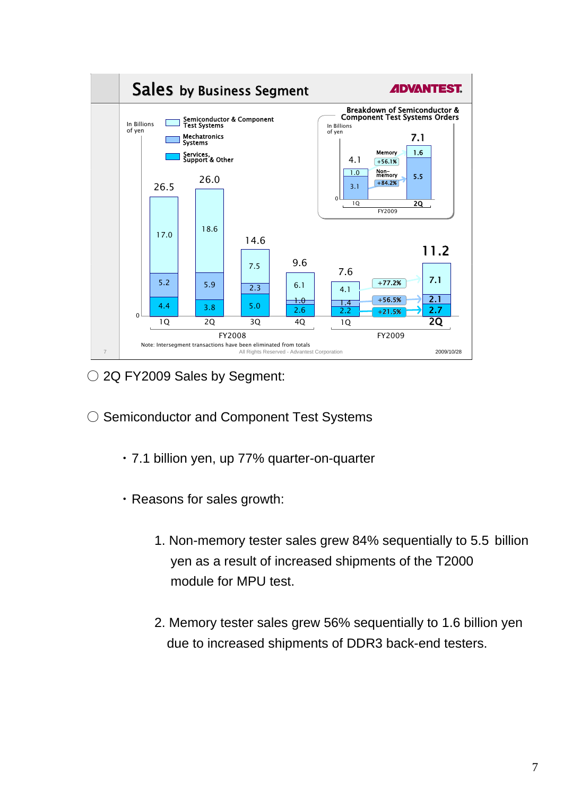

○ 2Q FY2009 Sales by Segment:

- ◯ Semiconductor and Component Test Systems
	- ・ 7.1 billion yen, up 77% quarter-on-quarter
	- ・ Reasons for sales growth:
		- 1. Non-memory tester sales grew 84% sequentially to 5.5 billion yen as a result of increased shipments of the T2000 module for MPU test.
		- 2. Memory tester sales grew 56% sequentially to 1.6 billion yen due to increased shipments of DDR3 back-end testers.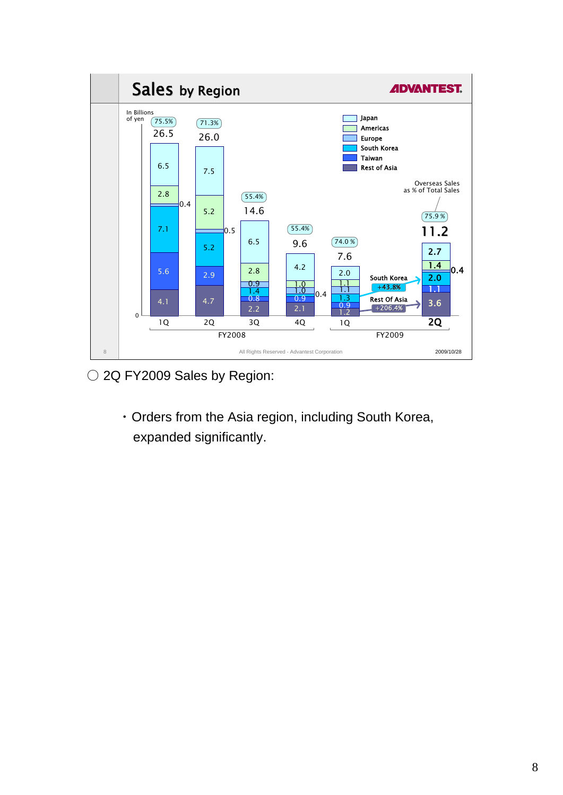

○ 2Q FY2009 Sales by Region:

・ Orders from the Asia region, including South Korea, expanded significantly.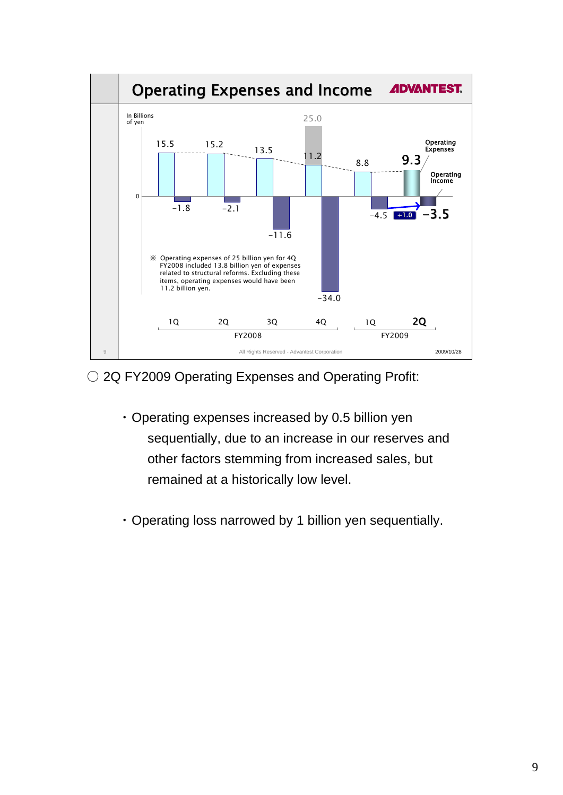

○ 2Q FY2009 Operating Expenses and Operating Profit:

- ・ Operating expenses increased by 0.5 billion yen sequentially, due to an increase in our reserves and other factors stemming from increased sales, but remained at a historically low level.
- ・ Operating loss narrowed by 1 billion yen sequentially.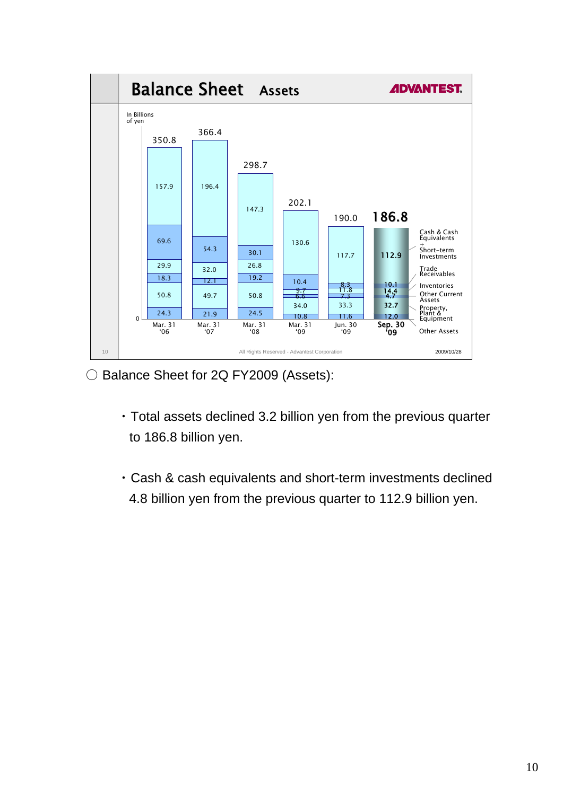

○ Balance Sheet for 2Q FY2009 (Assets):

- ・ Total assets declined 3.2 billion yen from the previous quarter to 186.8 billion yen.
- ・ Cash & cash equivalents and short-term investments declined 4.8 billion yen from the previous quarter to 112.9 billion yen.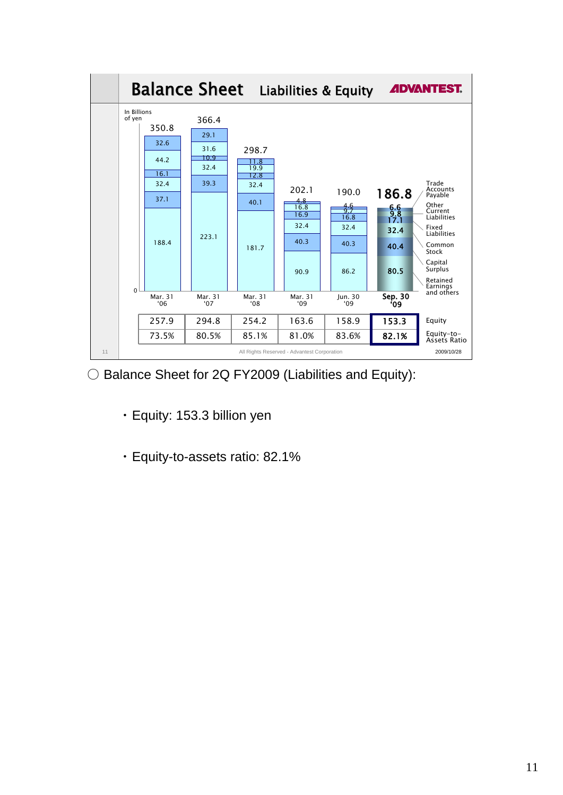

○ Balance Sheet for 2Q FY2009 (Liabilities and Equity):

- ・ Equity: 153.3 billion yen
- ・ Equity-to-assets ratio: 82.1%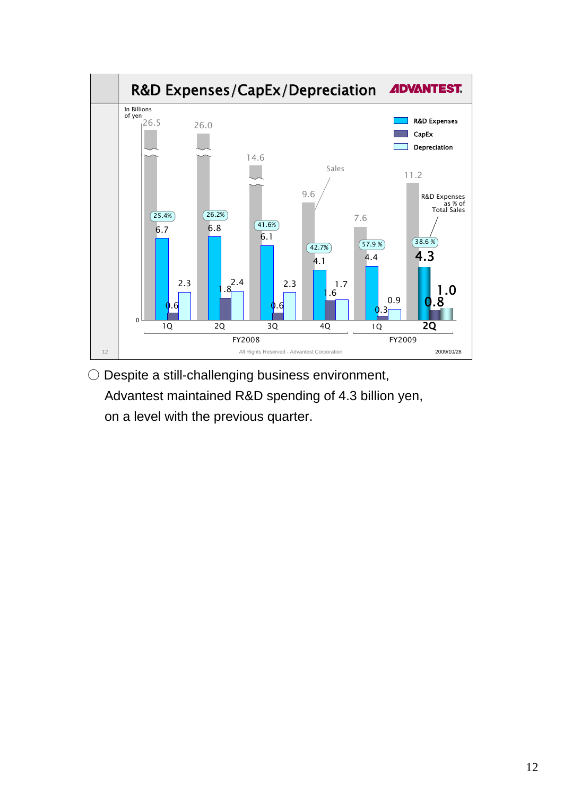

○ Despite a still-challenging business environment, Advantest maintained R&D spending of 4.3 billion yen, on a level with the previous quarter.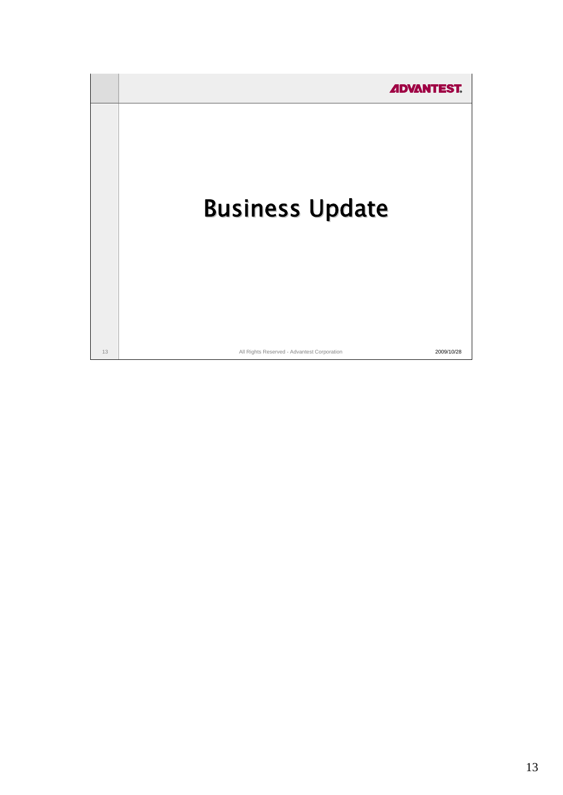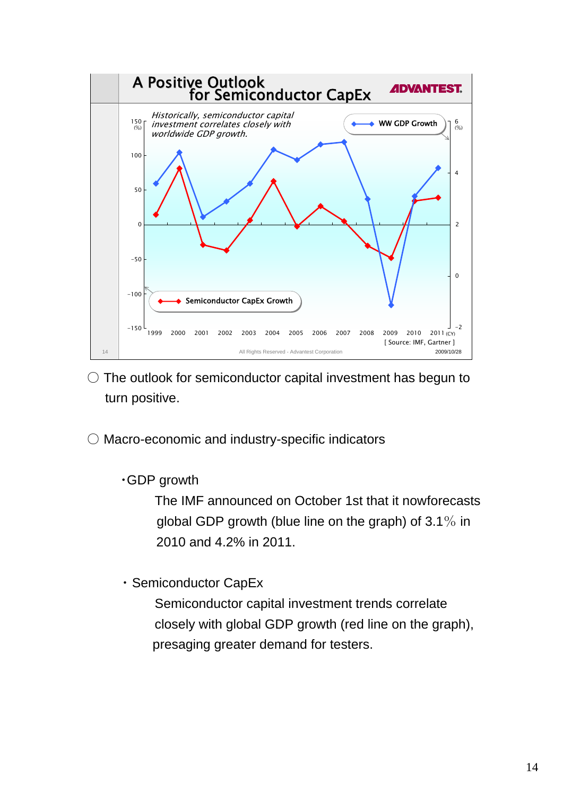

- $\circ$  The outlook for semiconductor capital investment has begun to turn positive.
- Macro-economic and industry-specific indicators

・GDP growth

The IMF announced on October 1st that it nowforecasts global GDP growth (blue line on the graph) of 3.1% in 2010 and 4.2% in 2011.

・ Semiconductor CapEx

Semiconductor capital investment trends correlate closely with global GDP growth (red line on the graph), presaging greater demand for testers.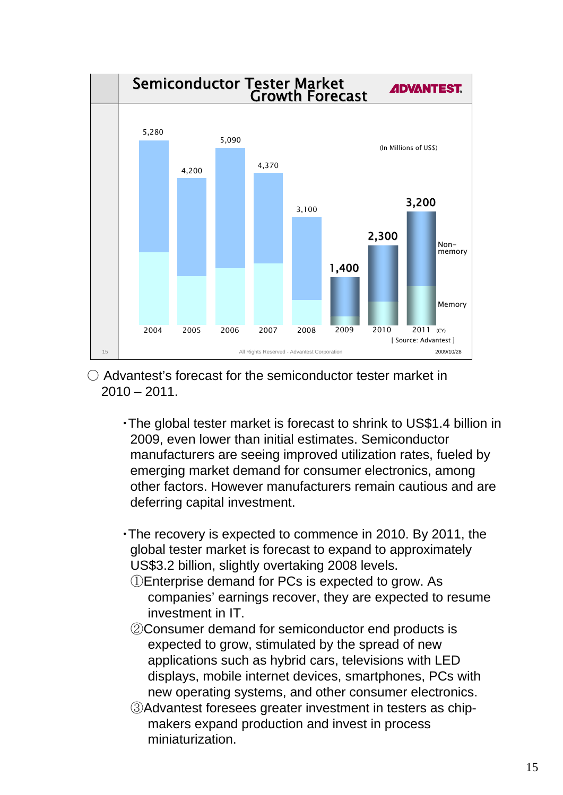

- Advantest's forecast for the semiconductor tester market in  $2010 - 2011$ .
	- ・The global tester market is forecast to shrink to US\$1.4 billion in 2009, even lower than initial estimates. Semiconductor manufacturers are seeing improved utilization rates, fueled by emerging market demand for consumer electronics, among other factors. However manufacturers remain cautious and are deferring capital investment.
	- ・The recovery is expected to commence in 2010. By 2011, the global tester market is forecast to expand to approximately US\$3.2 billion, slightly overtaking 2008 levels.
		- ①Enterprise demand for PCs is expected to grow. As companies' earnings recover, they are expected to resume investment in IT.
		- ②Consumer demand for semiconductor end products is expected to grow, stimulated by the spread of new applications such as hybrid cars, televisions with LED displays, mobile internet devices, smartphones, PCs with new operating systems, and other consumer electronics.
		- ③Advantest foresees greater investment in testers as chipmakers expand production and invest in process miniaturization.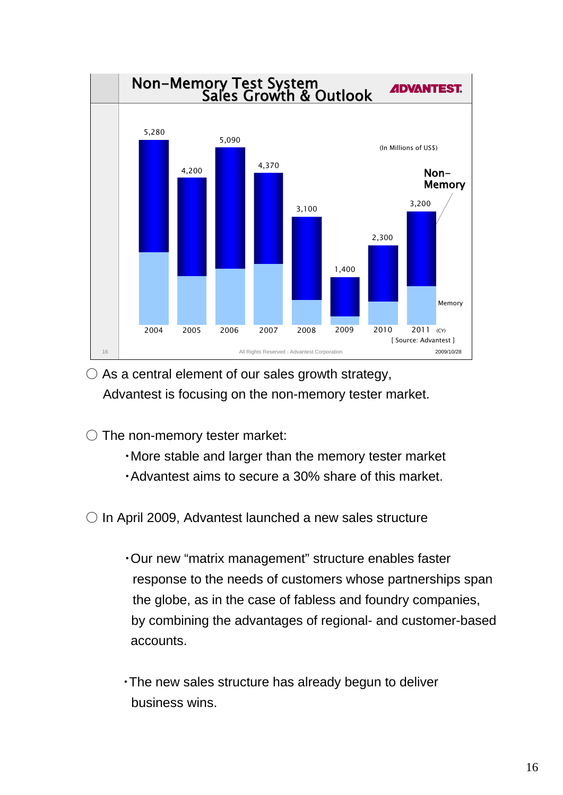

 $\bigcirc$  As a central element of our sales growth strategy, Advantest is focusing on the non-memory tester market.

 $\bigcirc$  The non-memory tester market:

- ・More stable and larger than the memory tester market
- ・Advantest aims to secure a 30% share of this market.

 $\circ$  In April 2009, Advantest launched a new sales structure

- ・Our new "matrix management" structure enables faster response to the needs of customers whose partnerships span the globe, as in the case of fabless and foundry companies, by combining the advantages of regional- and customer-based accounts.
- ・The new sales structure has already begun to deliver business wins.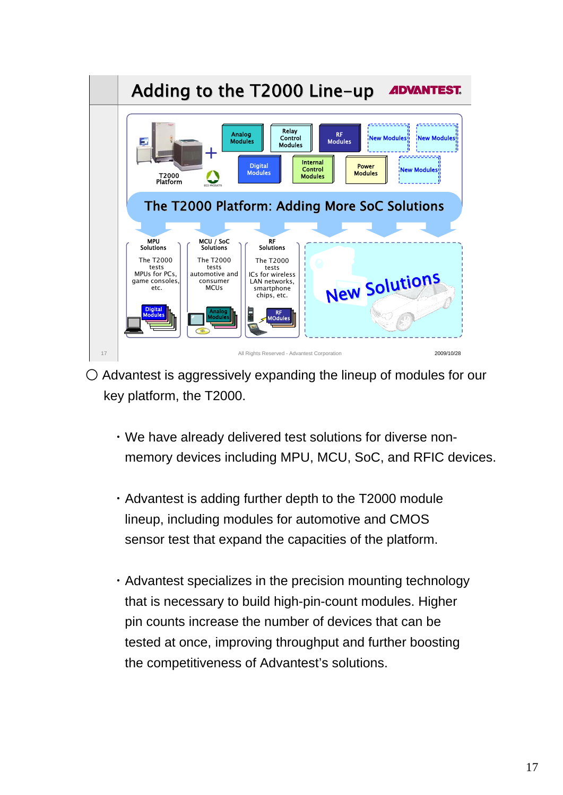

- $\circ$  Advantest is aggressively expanding the lineup of modules for our key platform, the T2000.
	- ・We have already delivered test solutions for diverse nonmemory devices including MPU, MCU, SoC, and RFIC devices.
	- ・Advantest is adding further depth to the T2000 module lineup, including modules for automotive and CMOS sensor test that expand the capacities of the platform.
	- ・Advantest specializes in the precision mounting technology that is necessary to build high-pin-count modules. Higher pin counts increase the number of devices that can be tested at once, improving throughput and further boosting the competitiveness of Advantest's solutions.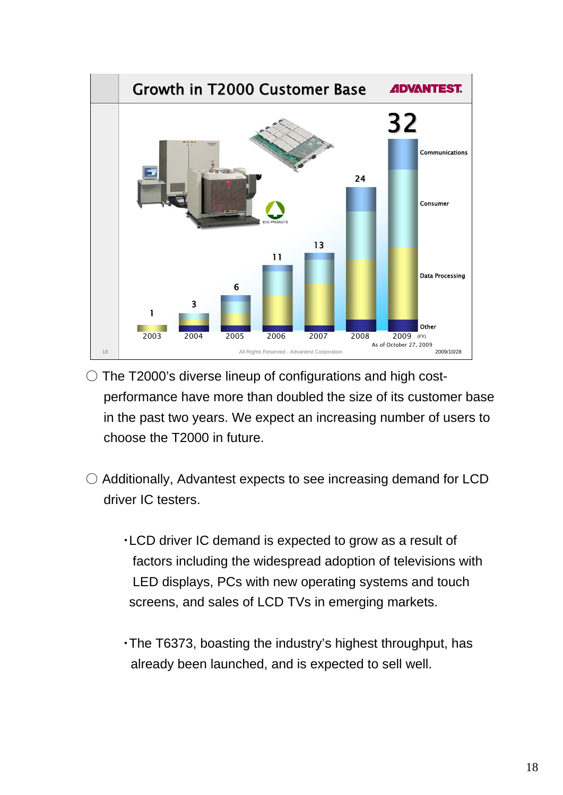

- $\circ$  The T2000's diverse lineup of configurations and high costperformance have more than doubled the size of its customer base in the past two years. We expect an increasing number of users to choose the T2000 in future.
- $\circlearrowright$  Additionally, Advantest expects to see increasing demand for LCD driver IC testers.
	- ・LCD driver IC demand is expected to grow as a result of factors including the widespread adoption of televisions with LED displays, PCs with new operating systems and touch screens, and sales of LCD TVs in emerging markets.
	- ・The T6373, boasting the industry's highest throughput, has already been launched, and is expected to sell well.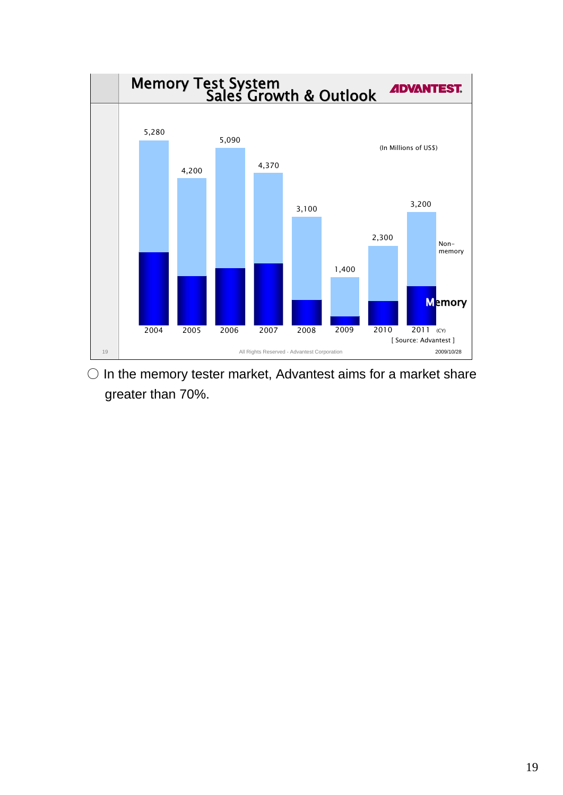

 $\bigcirc$  In the memory tester market, Advantest aims for a market share greater than 70%.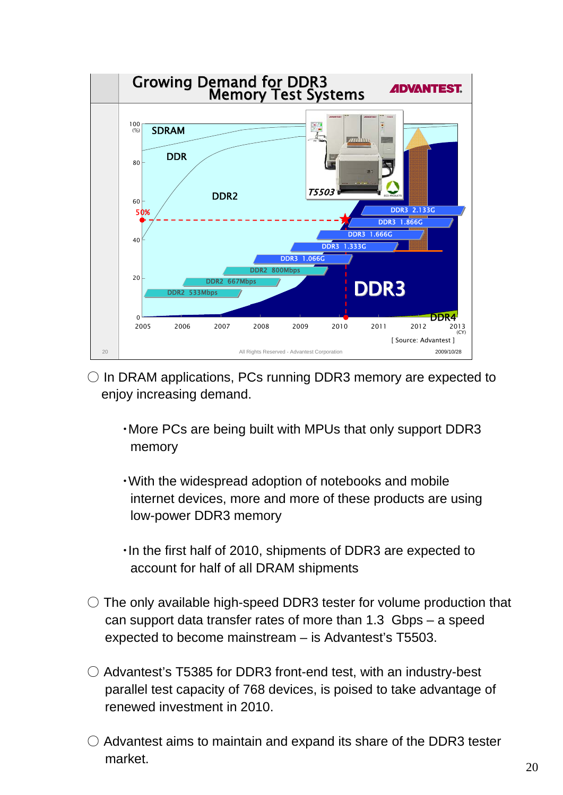

- $\circ$  In DRAM applications, PCs running DDR3 memory are expected to enjoy increasing demand.
	- ・More PCs are being built with MPUs that only support DDR3 memory
	- ・With the widespread adoption of notebooks and mobile internet devices, more and more of these products are using low-power DDR3 memory
	- ・In the first half of 2010, shipments of DDR3 are expected to account for half of all DRAM shipments
- $\circ$  The only available high-speed DDR3 tester for volume production that can support data transfer rates of more than 1.3 Gbps – a speed expected to become mainstream – is Advantest's T5503.
- $\circ$  Advantest's T5385 for DDR3 front-end test, with an industry-best parallel test capacity of 768 devices, is poised to take advantage of renewed investment in 2010.
- $\circ$  Advantest aims to maintain and expand its share of the DDR3 tester market.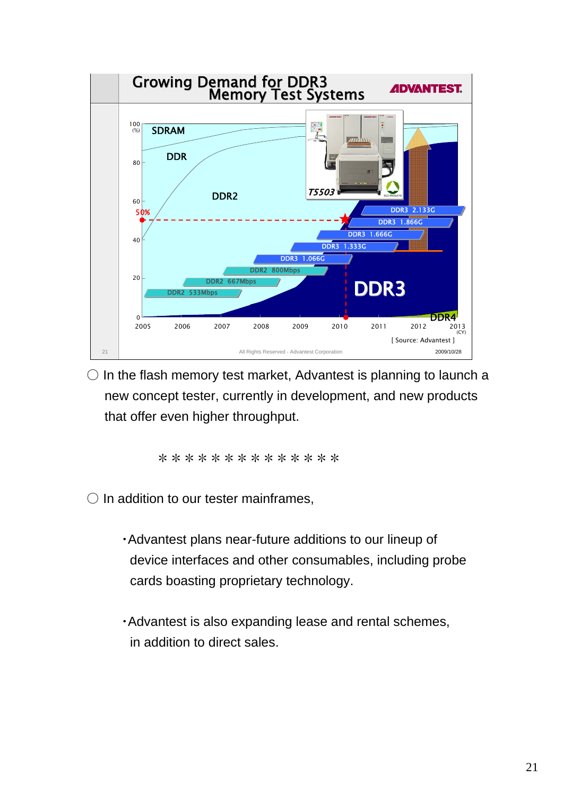

 $\circlearrowright$  In the flash memory test market, Advantest is planning to launch a new concept tester, currently in development, and new products that offer even higher throughput.

\*\*\*\*\*\*\*\*\*\*\*\*\*\*

 $\bigcirc$  In addition to our tester mainframes,

- ・Advantest plans near-future additions to our lineup of device interfaces and other consumables, including probe cards boasting proprietary technology.
- ・Advantest is also expanding lease and rental schemes, in addition to direct sales.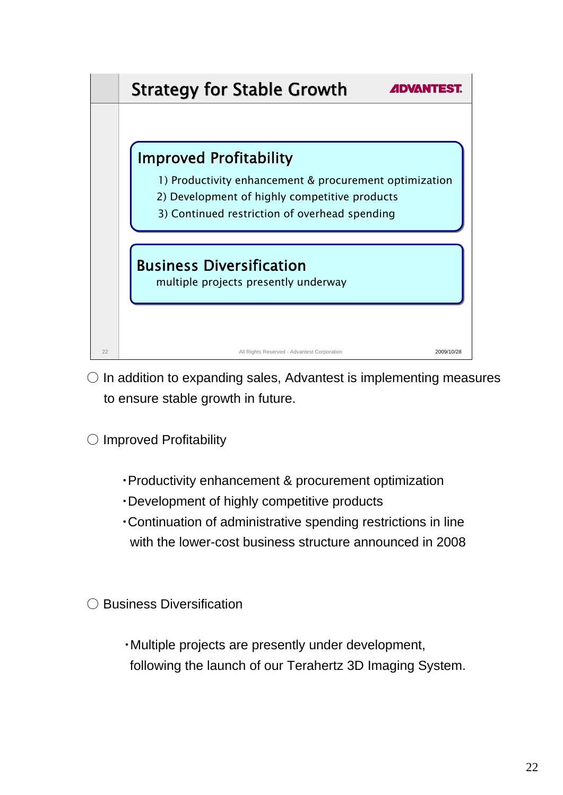

- $\circ$  In addition to expanding sales, Advantest is implementing measures to ensure stable growth in future.
- Improved Profitability
	- ・Productivity enhancement & procurement optimization
	- ・Development of highly competitive products
	- ・Continuation of administrative spending restrictions in line with the lower-cost business structure announced in 2008
- Business Diversification
	- ・Multiple projects are presently under development, following the launch of our Terahertz 3D Imaging System.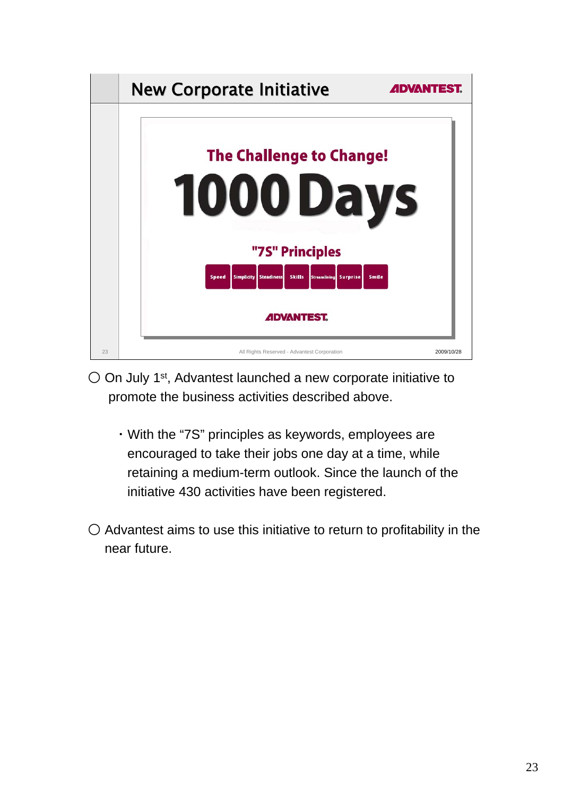

- $\circ$  On July 1<sup>st</sup>, Advantest launched a new corporate initiative to promote the business activities described above.
	- ・With the "7S" principles as keywords, employees are encouraged to take their jobs one day at a time, while retaining a medium-term outlook. Since the launch of the initiative 430 activities have been registered.
- $\bigcirc$  Advantest aims to use this initiative to return to profitability in the near future.